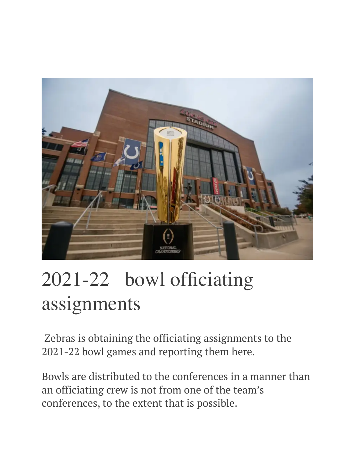

# 2021-22 bowl officiating assignments

 Zebras is obtaining the officiating assignments to the 2021-22 bowl games and reporting them here.

Bowls are distributed to the conferences in a manner than an officiating crew is not from one of the team's conferences, to the extent that is possible.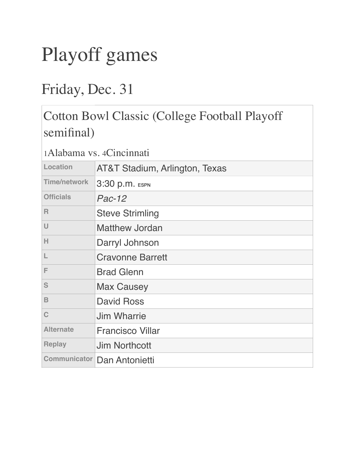# Playoff games

## Friday, Dec. 31

### Cotton Bowl Classic (College Football Playoff semifinal)

| Location            | AT&T Stadium, Arlington, Texas     |
|---------------------|------------------------------------|
| <b>Time/network</b> | 3:30 p.m. ESPN                     |
| <b>Officials</b>    | $Pac-12$                           |
| $\mathsf{R}$        | <b>Steve Strimling</b>             |
| U                   | <b>Matthew Jordan</b>              |
| Н                   | Darryl Johnson                     |
| L                   | <b>Cravonne Barrett</b>            |
| F                   | <b>Brad Glenn</b>                  |
| S                   | <b>Max Causey</b>                  |
| $\mathbf B$         | <b>David Ross</b>                  |
| C                   | <b>Jim Wharrie</b>                 |
| <b>Alternate</b>    | <b>Francisco Villar</b>            |
| <b>Replay</b>       | <b>Jim Northcott</b>               |
|                     | <b>Communicator Dan Antonietti</b> |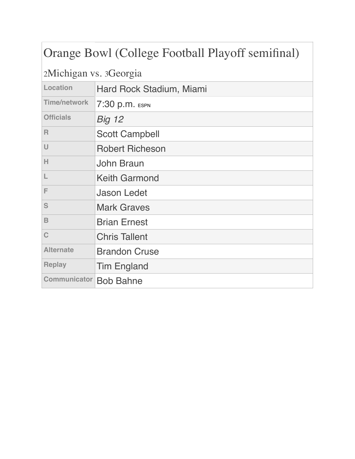### Orange Bowl (College Football Playoff semifinal)

2Michigan vs. 3Georgia

| Hard Rock Stadium, Miami                |
|-----------------------------------------|
| 7:30 p.m. ESPN                          |
| <b>Big 12</b>                           |
| <b>Scott Campbell</b>                   |
| <b>Robert Richeson</b>                  |
| John Braun                              |
| <b>Keith Garmond</b>                    |
| <b>Jason Ledet</b>                      |
| <b>Mark Graves</b>                      |
| <b>Brian Ernest</b>                     |
| <b>Chris Tallent</b>                    |
| <b>Brandon Cruse</b>                    |
| <b>Tim England</b>                      |
| <b>Communicator</b><br><b>Bob Bahne</b> |
|                                         |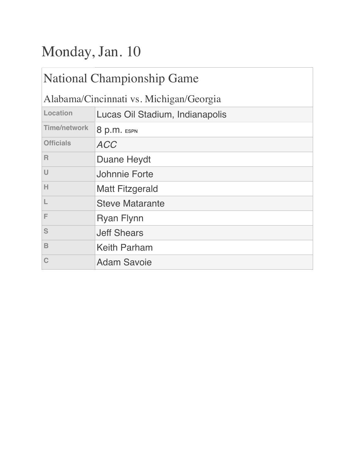# Monday, Jan. 10

| <b>National Championship Game</b>       |                                 |
|-----------------------------------------|---------------------------------|
| Alabama/Cincinnati vs. Michigan/Georgia |                                 |
| Location                                | Lucas Oil Stadium, Indianapolis |
| <b>Time/network</b>                     | 8 p.m. ESPN                     |
| <b>Officials</b>                        | <b>ACC</b>                      |
| $\mathsf{R}$                            | <b>Duane Heydt</b>              |
| $\cup$                                  | <b>Johnnie Forte</b>            |
| H                                       | <b>Matt Fitzgerald</b>          |
| L                                       | <b>Steve Matarante</b>          |
| F                                       | <b>Ryan Flynn</b>               |
| S                                       | <b>Jeff Shears</b>              |
| B                                       | <b>Keith Parham</b>             |
|                                         | <b>Adam Savoie</b>              |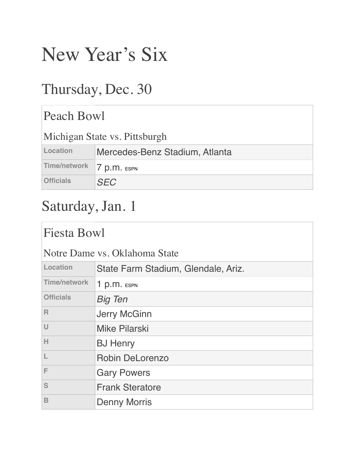# New Year's Six

## Thursday, Dec. 30

| Peach Bowl                    |                                |
|-------------------------------|--------------------------------|
| Michigan State vs. Pittsburgh |                                |
| Location                      | Mercedes-Benz Stadium, Atlanta |
| <b>Time/network</b>           | $p.m.$ ESPN                    |
| <b>Officials</b>              | <b>SFC</b>                     |

# Saturday, Jan. 1

| <b>Fiesta Bowl</b>            |                                     |
|-------------------------------|-------------------------------------|
| Notre Dame vs. Oklahoma State |                                     |
| Location                      | State Farm Stadium, Glendale, Ariz. |
| <b>Time/network</b>           | $1 p.m.$ ESPN                       |
| <b>Officials</b>              | <b>Big Ten</b>                      |
| $\mathsf{R}$                  | <b>Jerry McGinn</b>                 |
| $\cup$                        | <b>Mike Pilarski</b>                |
| Н                             | <b>BJ Henry</b>                     |
|                               | <b>Robin DeLorenzo</b>              |
| F                             | <b>Gary Powers</b>                  |
| S                             | <b>Frank Steratore</b>              |
| B                             | <b>Denny Morris</b>                 |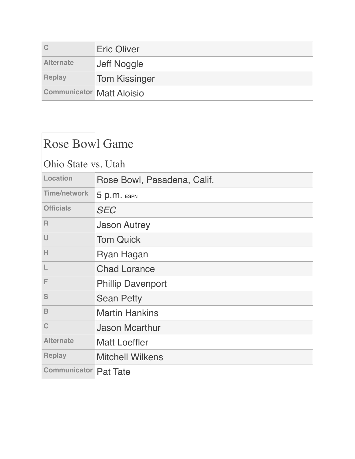|                                  | <b>Eric Oliver</b>   |
|----------------------------------|----------------------|
| <b>Alternate</b>                 | ∣Jeff Noggle         |
| <b>Replay</b>                    | <b>Tom Kissinger</b> |
| <b>Communicator Matt Aloisio</b> |                      |

| <b>Rose Bowl Game</b>        |                             |
|------------------------------|-----------------------------|
| Ohio State vs. Utah          |                             |
| Location                     | Rose Bowl, Pasadena, Calif. |
| <b>Time/network</b>          | 5 p.m. ESPN                 |
| <b>Officials</b>             | <b>SEC</b>                  |
| R                            | <b>Jason Autrey</b>         |
| U                            | <b>Tom Quick</b>            |
| Н                            | Ryan Hagan                  |
| L                            | <b>Chad Lorance</b>         |
| F                            | <b>Phillip Davenport</b>    |
| S                            | <b>Sean Petty</b>           |
| $\mathbf B$                  | <b>Martin Hankins</b>       |
| $\mathbf C$                  | <b>Jason Mcarthur</b>       |
| <b>Alternate</b>             | <b>Matt Loeffler</b>        |
| <b>Replay</b>                | <b>Mitchell Wilkens</b>     |
| <b>Communicator Pat Tate</b> |                             |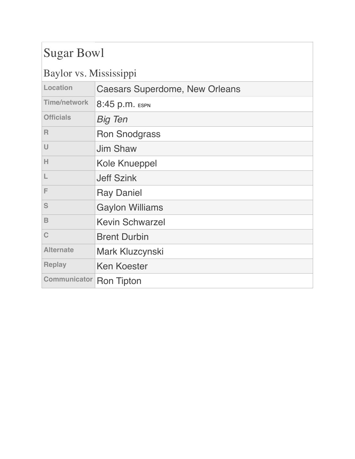### Sugar Bowl

#### Baylor vs. Mississippi

|                     | 1 T                                   |
|---------------------|---------------------------------------|
| Location            | <b>Caesars Superdome, New Orleans</b> |
| <b>Time/network</b> | 8:45 p.m. ESPN                        |
| <b>Officials</b>    | <b>Big Ten</b>                        |
| R                   | <b>Ron Snodgrass</b>                  |
| U                   | <b>Jim Shaw</b>                       |
| H                   | <b>Kole Knueppel</b>                  |
| L                   | <b>Jeff Szink</b>                     |
| F                   | <b>Ray Daniel</b>                     |
| S                   | <b>Gaylon Williams</b>                |
| B                   | <b>Kevin Schwarzel</b>                |
| C                   | <b>Brent Durbin</b>                   |
| <b>Alternate</b>    | Mark Kluzcynski                       |
| <b>Replay</b>       | <b>Ken Koester</b>                    |
| <b>Communicator</b> | <b>Ron Tipton</b>                     |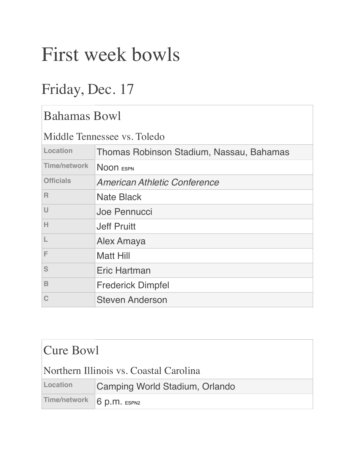# First week bowls

## Friday, Dec. 17

| <b>Bahamas Bowl</b>         |                                          |
|-----------------------------|------------------------------------------|
| Middle Tennessee vs. Toledo |                                          |
| Location                    | Thomas Robinson Stadium, Nassau, Bahamas |
| <b>Time/network</b>         | NOON ESPN                                |
| <b>Officials</b>            | American Athletic Conference             |
| R                           | Nate Black                               |
| $\cup$                      | Joe Pennucci                             |
| Н                           | <b>Jeff Pruitt</b>                       |
|                             | Alex Amaya                               |
| F                           | Matt Hill                                |
| S                           | Eric Hartman                             |
| B                           | <b>Frederick Dimpfel</b>                 |
| Ć                           | <b>Steven Anderson</b>                   |

### Cure Bowl

#### Northern Illinois vs. Coastal Carolina

| Location | Camping World Stadium, Orlando |
|----------|--------------------------------|
|          | Time/network 6 p.m. ESPN2      |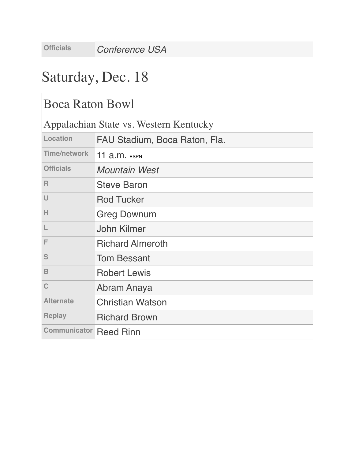## Saturday, Dec. 18

### Boca Raton Bowl

Appalachian State vs. Western Kentucky

| Location            | FAU Stadium, Boca Raton, Fla. |
|---------------------|-------------------------------|
| <b>Time/network</b> | <b>11 a.m. ESPN</b>           |
| <b>Officials</b>    | <b>Mountain West</b>          |
| R                   | <b>Steve Baron</b>            |
| U                   | <b>Rod Tucker</b>             |
| н                   | <b>Greg Downum</b>            |
| L                   | <b>John Kilmer</b>            |
| F                   | <b>Richard Almeroth</b>       |
| S                   | <b>Tom Bessant</b>            |
| B                   | <b>Robert Lewis</b>           |
| $\mathbf C$         | Abram Anaya                   |
| <b>Alternate</b>    | <b>Christian Watson</b>       |
| <b>Replay</b>       | <b>Richard Brown</b>          |
| <b>Communicator</b> | <b>Reed Rinn</b>              |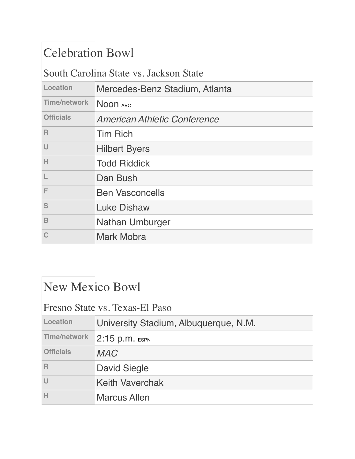### Celebration Bowl

#### South Carolina State vs. Jackson State

| Location            | Mercedes-Benz Stadium, Atlanta      |
|---------------------|-------------------------------------|
| <b>Time/network</b> | NOON ABC                            |
| <b>Officials</b>    | <b>American Athletic Conference</b> |
| $\mathsf{R}$        | <b>Tim Rich</b>                     |
| U                   | <b>Hilbert Byers</b>                |
| H                   | <b>Todd Riddick</b>                 |
|                     | Dan Bush                            |
| F                   | <b>Ben Vasconcells</b>              |
| S                   | <b>Luke Dishaw</b>                  |
| B                   | <b>Nathan Umburger</b>              |
|                     | <b>Mark Mobra</b>                   |

| New Mexico Bowl                |                                       |
|--------------------------------|---------------------------------------|
| Fresno State vs. Texas-El Paso |                                       |
| Location                       | University Stadium, Albuquerque, N.M. |
| <b>Time/network</b>            | $ 2:15$ p.m. Espn                     |
| <b>Officials</b>               | <b>MAC</b>                            |
| $\overline{R}$                 | <b>David Siegle</b>                   |
| U                              | <b>Keith Vaverchak</b>                |
| H                              | <b>Marcus Allen</b>                   |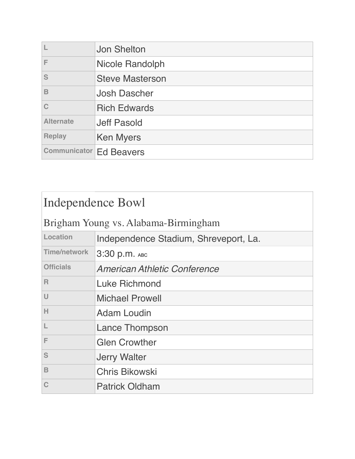|                                | <b>Jon Shelton</b>     |
|--------------------------------|------------------------|
| F                              | <b>Nicole Randolph</b> |
| S                              | <b>Steve Masterson</b> |
| B                              | <b>Josh Dascher</b>    |
| C                              | <b>Rich Edwards</b>    |
| <b>Alternate</b>               | <b>Jeff Pasold</b>     |
| <b>Replay</b>                  | <b>Ken Myers</b>       |
| <b>Communicator Ed Beavers</b> |                        |

| Independence Bowl                    |                                       |
|--------------------------------------|---------------------------------------|
| Brigham Young vs. Alabama-Birmingham |                                       |
| Location                             | Independence Stadium, Shreveport, La. |
| <b>Time/network</b>                  | 3:30 p.m. ABC                         |
| <b>Officials</b>                     | <b>American Athletic Conference</b>   |
| R                                    | Luke Richmond                         |
| $\cup$                               | <b>Michael Prowell</b>                |
| H                                    | Adam Loudin                           |
| L                                    | <b>Lance Thompson</b>                 |
| F                                    | <b>Glen Crowther</b>                  |
| S                                    | <b>Jerry Walter</b>                   |
| B                                    | <b>Chris Bikowski</b>                 |
|                                      | <b>Patrick Oldham</b>                 |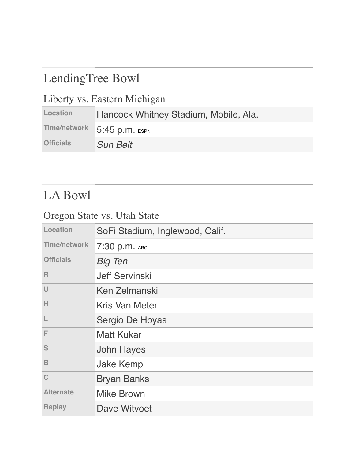### LendingTree Bowl

### Liberty vs. Eastern Michigan

| Location         | Hancock Whitney Stadium, Mobile, Ala. |
|------------------|---------------------------------------|
|                  | Time/network 5:45 p.m. ESPN           |
| <b>Officials</b> | <b>Sun Belt</b>                       |

### LA Bowl

| Oregon State vs. Utah State |                                 |
|-----------------------------|---------------------------------|
| Location                    | SoFi Stadium, Inglewood, Calif. |
| <b>Time/network</b>         | 7:30 р. т. Авс                  |
| <b>Officials</b>            | <b>Big Ten</b>                  |
| $\mathsf{R}$                | <b>Jeff Servinski</b>           |
| U                           | Ken Zelmanski                   |
| Н                           | <b>Kris Van Meter</b>           |
| L                           | Sergio De Hoyas                 |
| F                           | <b>Matt Kukar</b>               |
| S                           | <b>John Hayes</b>               |
| $\mathbf B$                 | <b>Jake Kemp</b>                |
| C                           | <b>Bryan Banks</b>              |
| <b>Alternate</b>            | <b>Mike Brown</b>               |
| <b>Replay</b>               | Dave Witvoet                    |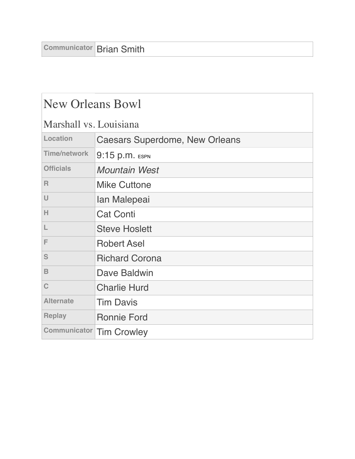| <b>New Orleans Bowl</b>                                                                                     |                                       |
|-------------------------------------------------------------------------------------------------------------|---------------------------------------|
| Marshall vs. Louisiana                                                                                      |                                       |
| Location                                                                                                    | <b>Caesars Superdome, New Orleans</b> |
| <b>Time/network</b>                                                                                         | 9:15 p.m. ESPN                        |
| <b>Officials</b>                                                                                            | <b>Mountain West</b>                  |
| $\mathbb{R}$                                                                                                | <b>Mike Cuttone</b>                   |
| $\cup$                                                                                                      | Ian Malepeai                          |
| H                                                                                                           | <b>Cat Conti</b>                      |
| $\mathsf{L}% _{0}\left( \mathsf{L}_{0}\right) ^{\ast }=\mathsf{L}_{0}\left( \mathsf{L}_{0}\right) ^{\ast }$ | <b>Steve Hoslett</b>                  |
| F                                                                                                           | <b>Robert Asel</b>                    |
| S                                                                                                           | <b>Richard Corona</b>                 |
| $\mathbf B$                                                                                                 | Dave Baldwin                          |
| $\mathbf C$                                                                                                 | <b>Charlie Hurd</b>                   |
| <b>Alternate</b>                                                                                            | <b>Tim Davis</b>                      |
| <b>Replay</b>                                                                                               | <b>Ronnie Ford</b>                    |
| <b>Communicator</b>                                                                                         | <b>Tim Crowley</b>                    |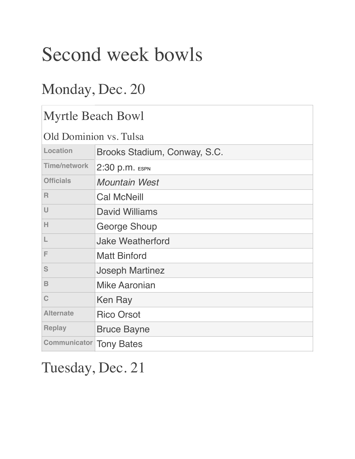# Second week bowls

## Monday, Dec. 20

| <b>Myrtle Beach Bowl</b> |                              |
|--------------------------|------------------------------|
| Old Dominion vs. Tulsa   |                              |
| Location                 | Brooks Stadium, Conway, S.C. |
| <b>Time/network</b>      | 2:30 p.m. ESPN               |
| <b>Officials</b>         | <b>Mountain West</b>         |
| R                        | <b>Cal McNeill</b>           |
| $\cup$                   | <b>David Williams</b>        |
| H                        | George Shoup                 |
| L                        | <b>Jake Weatherford</b>      |
| F                        | <b>Matt Binford</b>          |
| S                        | <b>Joseph Martinez</b>       |
| B                        | <b>Mike Aaronian</b>         |
| $\mathbf C$              | Ken Ray                      |
| <b>Alternate</b>         | <b>Rico Orsot</b>            |
| <b>Replay</b>            | <b>Bruce Bayne</b>           |
| <b>Communicator</b>      | <b>Tony Bates</b>            |

## Tuesday, Dec. 21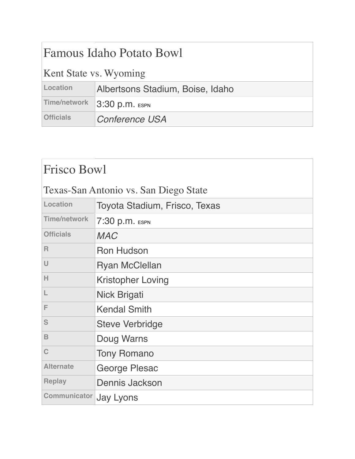| <b>Famous Idaho Potato Bowl</b> |                                  |
|---------------------------------|----------------------------------|
| Kent State vs. Wyoming          |                                  |
| Location                        | Albertsons Stadium, Boise, Idaho |
| Time/network                    | 3:30 p.m. ESPN                   |
| <b>Officials</b>                | <b>Conference USA</b>            |

| <b>Frisco Bowl</b>                    |                               |
|---------------------------------------|-------------------------------|
| Texas-San Antonio vs. San Diego State |                               |
| Location                              | Toyota Stadium, Frisco, Texas |
| <b>Time/network</b>                   | 7:30 p.m. ESPN                |
| <b>Officials</b>                      | <b>MAC</b>                    |
| $\mathsf{R}$                          | <b>Ron Hudson</b>             |
| $\cup$                                | <b>Ryan McClellan</b>         |
| H                                     | <b>Kristopher Loving</b>      |
|                                       | Nick Brigati                  |
| F                                     | <b>Kendal Smith</b>           |
| S                                     | <b>Steve Verbridge</b>        |
| B                                     | Doug Warns                    |
| $\mathbf C$                           | <b>Tony Romano</b>            |
| <b>Alternate</b>                      | George Plesac                 |
| <b>Replay</b>                         | Dennis Jackson                |
| <b>Communicator</b>                   | Jay Lyons                     |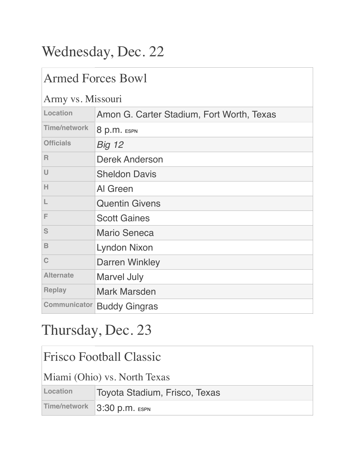# Wednesday, Dec. 22

### Armed Forces Bowl

#### Army vs. Missouri

| I HIII, YD: IVIIDDOGII |                                           |
|------------------------|-------------------------------------------|
| Location               | Amon G. Carter Stadium, Fort Worth, Texas |
| <b>Time/network</b>    | 8 p.m. ESPN                               |
| <b>Officials</b>       | <b>Big 12</b>                             |
| $\mathsf{R}$           | <b>Derek Anderson</b>                     |
| $\cup$                 | <b>Sheldon Davis</b>                      |
| Н                      | Al Green                                  |
| L                      | <b>Quentin Givens</b>                     |
| F                      | <b>Scott Gaines</b>                       |
| S                      | <b>Mario Seneca</b>                       |
| B                      | <b>Lyndon Nixon</b>                       |
| C                      | <b>Darren Winkley</b>                     |
| <b>Alternate</b>       | <b>Marvel July</b>                        |
| <b>Replay</b>          | <b>Mark Marsden</b>                       |
| <b>Communicator</b>    | <b>Buddy Gingras</b>                      |

## Thursday, Dec. 23

| <b>Frisco Football Classic</b> |                               |
|--------------------------------|-------------------------------|
| Miami (Ohio) vs. North Texas   |                               |
| Location                       | Toyota Stadium, Frisco, Texas |
| Time/network                   | 3:30 p.m. ESPN                |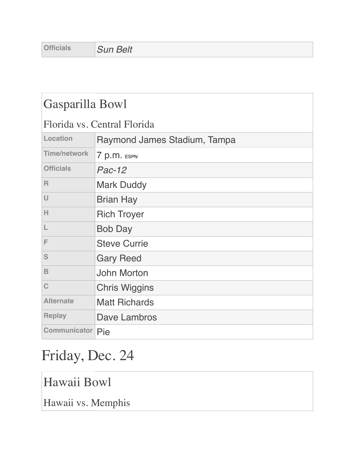| Gasparilla Bowl             |                              |
|-----------------------------|------------------------------|
| Florida vs. Central Florida |                              |
| Location                    | Raymond James Stadium, Tampa |
| <b>Time/network</b>         | 7 p.m. ESPN                  |
| <b>Officials</b>            | $Pac-12$                     |
| $\mathsf{R}$                | <b>Mark Duddy</b>            |
| U                           | <b>Brian Hay</b>             |
| н                           | <b>Rich Troyer</b>           |
| L                           | <b>Bob Day</b>               |
| F                           | <b>Steve Currie</b>          |
| S                           | <b>Gary Reed</b>             |
| $\mathbf B$                 | <b>John Morton</b>           |
| C                           | <b>Chris Wiggins</b>         |
| <b>Alternate</b>            | <b>Matt Richards</b>         |
| <b>Replay</b>               | Dave Lambros                 |
| <b>Communicator Pie</b>     |                              |

# Friday, Dec. 24

Hawaii Bowl

Hawaii vs. Memphis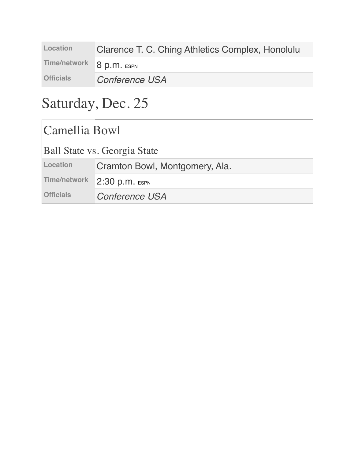| Location                 | Clarence T. C. Ching Athletics Complex, Honolulu |
|--------------------------|--------------------------------------------------|
| Time/network 8 p.m. ESPN |                                                  |
| <b>Officials</b>         | <b>Conference USA</b>                            |

# Saturday, Dec. 25

| Camellia Bowl                       |                                |
|-------------------------------------|--------------------------------|
| <b>Ball State vs. Georgia State</b> |                                |
| Location                            | Cramton Bowl, Montgomery, Ala. |
| Time/network                        | 2:30 p.m. ESPN                 |
| <b>Officials</b>                    | Conference USA                 |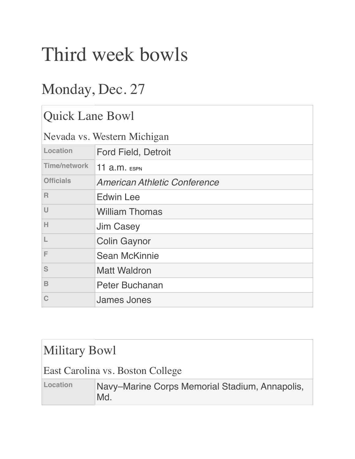# Third week bowls

## Monday, Dec. 27

| <b>Quick Lane Bowl</b> |                                     |
|------------------------|-------------------------------------|
|                        | Nevada vs. Western Michigan         |
| Location               | <b>Ford Field, Detroit</b>          |
| <b>Time/network</b>    | 11 $a.m.$ ESPN                      |
| <b>Officials</b>       | <b>American Athletic Conference</b> |
| R                      | <b>Edwin Lee</b>                    |
| $\cup$                 | <b>William Thomas</b>               |
| H                      | <b>Jim Casey</b>                    |
| L                      | <b>Colin Gaynor</b>                 |
| F                      | <b>Sean McKinnie</b>                |
| S                      | <b>Matt Waldron</b>                 |
| B                      | Peter Buchanan                      |
| $\mathsf C$            | <b>James Jones</b>                  |

### Military Bowl

#### East Carolina vs. Boston College

| Location | Navy-Marine Corps Memorial Stadium, Annapolis, |
|----------|------------------------------------------------|
|          | Md.                                            |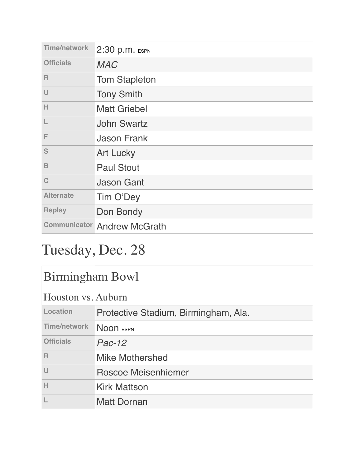| <b>Time/network</b> | 2:30 p.m. ESPN                     |
|---------------------|------------------------------------|
| <b>Officials</b>    | <b>MAC</b>                         |
| $\mathsf{R}$        | <b>Tom Stapleton</b>               |
| U                   | <b>Tony Smith</b>                  |
| н                   | <b>Matt Griebel</b>                |
|                     | <b>John Swartz</b>                 |
| F                   | <b>Jason Frank</b>                 |
| S                   | <b>Art Lucky</b>                   |
| B                   | <b>Paul Stout</b>                  |
| $\mathbf C$         | <b>Jason Gant</b>                  |
| <b>Alternate</b>    | Tim O'Dey                          |
| <b>Replay</b>       | Don Bondy                          |
|                     | <b>Communicator Andrew McGrath</b> |

# Tuesday, Dec. 28

| <b>Birmingham Bowl</b>  |                                      |
|-------------------------|--------------------------------------|
| Houston vs. Auburn      |                                      |
| Location                | Protective Stadium, Birmingham, Ala. |
| <b>Time/network</b>     | NOON ESPN                            |
| <b>Officials</b>        | $Pac-12$                             |
| $\overline{\mathsf{R}}$ | <b>Mike Mothershed</b>               |
| U                       | Roscoe Meisenhiemer                  |
| Н                       | <b>Kirk Mattson</b>                  |
|                         | <b>Matt Dornan</b>                   |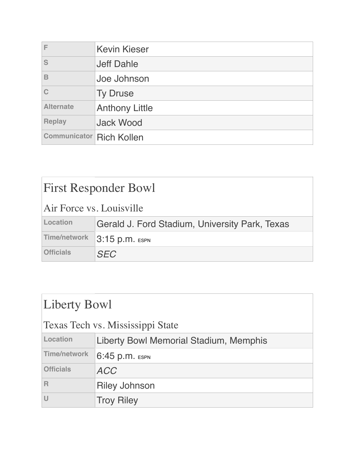| F                               | <b>Kevin Kieser</b>   |
|---------------------------------|-----------------------|
| S                               | <b>Jeff Dahle</b>     |
| B                               | Joe Johnson           |
|                                 | <b>Ty Druse</b>       |
| <b>Alternate</b>                | <b>Anthony Little</b> |
| <b>Replay</b>                   | <b>Jack Wood</b>      |
| <b>Communicator Rich Kollen</b> |                       |

| <b>First Responder Bowl</b> |                                                |
|-----------------------------|------------------------------------------------|
| Air Force vs. Louisville    |                                                |
| Location                    | Gerald J. Ford Stadium, University Park, Texas |
| <b>Time/network</b>         | 3:15 p.m. ESPN                                 |
| <b>Officials</b>            | <b>SEC</b>                                     |

| Liberty Bowl                     |                                        |
|----------------------------------|----------------------------------------|
| Texas Tech vs. Mississippi State |                                        |
| Location                         | Liberty Bowl Memorial Stadium, Memphis |
| Time/network                     | 6:45 p.m. ESPN                         |
| <b>Officials</b>                 | <b>ACC</b>                             |
| R                                | <b>Riley Johnson</b>                   |
|                                  | <b>Troy Riley</b>                      |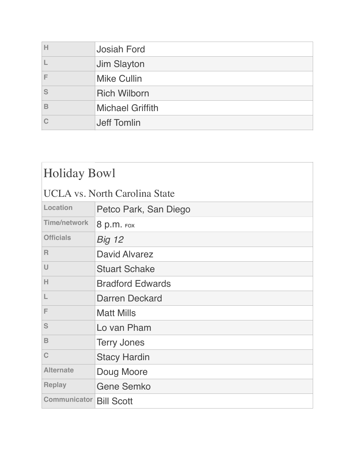| н | <b>Josiah Ford</b>      |
|---|-------------------------|
|   | <b>Jim Slayton</b>      |
|   | <b>Mike Cullin</b>      |
| S | <b>Rich Wilborn</b>     |
| B | <b>Michael Griffith</b> |
|   | <b>Jeff Tomlin</b>      |

| <b>Holiday Bowl</b>                  |                         |
|--------------------------------------|-------------------------|
| <b>UCLA</b> vs. North Carolina State |                         |
| Location                             | Petco Park, San Diego   |
| <b>Time/network</b>                  | 8 p.m. FOX              |
| <b>Officials</b>                     | <b>Big 12</b>           |
| R                                    | <b>David Alvarez</b>    |
| U                                    | <b>Stuart Schake</b>    |
| н                                    | <b>Bradford Edwards</b> |
|                                      | Darren Deckard          |
| F                                    | <b>Matt Mills</b>       |
| S                                    | Lo van Pham             |
| B                                    | <b>Terry Jones</b>      |
| $\mathbf C$                          | <b>Stacy Hardin</b>     |
| <b>Alternate</b>                     | Doug Moore              |
| <b>Replay</b>                        | <b>Gene Semko</b>       |
| <b>Communicator Bill Scott</b>       |                         |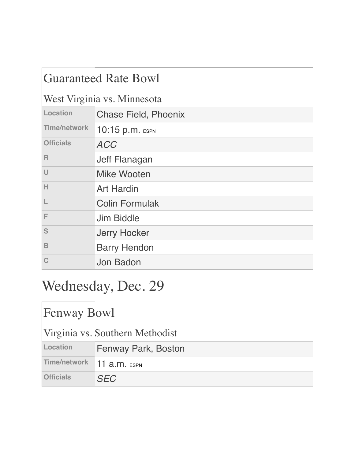| <b>Guaranteed Rate Bowl</b> |                             |
|-----------------------------|-----------------------------|
| West Virginia vs. Minnesota |                             |
| Location                    | <b>Chase Field, Phoenix</b> |
| <b>Time/network</b>         | 10:15 p.m. ESPN             |
| <b>Officials</b>            | <b>ACC</b>                  |
| $\mathsf{R}$                | Jeff Flanagan               |
| $\cup$                      | Mike Wooten                 |
| H                           | <b>Art Hardin</b>           |
| L                           | <b>Colin Formulak</b>       |
| F                           | Jim Biddle                  |
| S                           | <b>Jerry Hocker</b>         |
| $\mathbf B$                 | <b>Barry Hendon</b>         |
| C                           | Jon Badon                   |

# Wednesday, Dec. 29

| <b>Fenway Bowl</b>              |                     |
|---------------------------------|---------------------|
| Virginia vs. Southern Methodist |                     |
| Location                        | Fenway Park, Boston |
| <b>Time/network</b>             | 11 $a.m.$ ESPN      |
| <b>Officials</b>                | <b>SEC</b>          |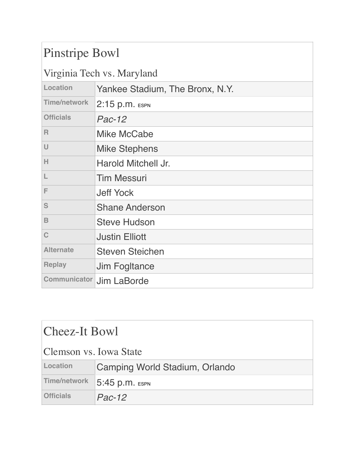### Pinstripe Bowl

| Virginia Tech vs. Maryland |                                 |
|----------------------------|---------------------------------|
| Location                   | Yankee Stadium, The Bronx, N.Y. |
| <b>Time/network</b>        | $2:15$ p.m. ESPN                |
| <b>Officials</b>           | $Pac-12$                        |
| $\mathsf{R}$               | <b>Mike McCabe</b>              |
| U                          | <b>Mike Stephens</b>            |
| H                          | Harold Mitchell Jr.             |
| L                          | <b>Tim Messuri</b>              |
| F                          | <b>Jeff Yock</b>                |
| S                          | <b>Shane Anderson</b>           |
| $\mathbf B$                | <b>Steve Hudson</b>             |
| C                          | <b>Justin Elliott</b>           |
| <b>Alternate</b>           | <b>Steven Steichen</b>          |
| <b>Replay</b>              | <b>Jim Fogltance</b>            |
| <b>Communicator</b>        | Jim LaBorde                     |

| Cheez-It Bowl          |                                |
|------------------------|--------------------------------|
| Clemson vs. Iowa State |                                |
| Location               | Camping World Stadium, Orlando |
| Time/network           | 5:45 p.m. ESPN                 |
| <b>Officials</b>       | $Pac-12$                       |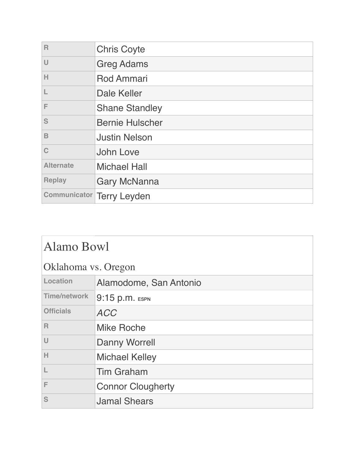| $\overline{R}$   | <b>Chris Coyte</b>               |
|------------------|----------------------------------|
| $\cup$           | <b>Greg Adams</b>                |
| H                | <b>Rod Ammari</b>                |
| L                | <b>Dale Keller</b>               |
| F                | <b>Shane Standley</b>            |
| S                | <b>Bernie Hulscher</b>           |
| B                | <b>Justin Nelson</b>             |
| C                | John Love                        |
| <b>Alternate</b> | <b>Michael Hall</b>              |
| <b>Replay</b>    | <b>Gary McNanna</b>              |
|                  | <b>Communicator Terry Leyden</b> |

| <b>Alamo Bowl</b>   |                          |
|---------------------|--------------------------|
| Oklahoma vs. Oregon |                          |
| Location            | Alamodome, San Antonio   |
| <b>Time/network</b> | 9:15 p.m. ESPN           |
| <b>Officials</b>    | <b>ACC</b>               |
| $\mathsf{R}$        | <b>Mike Roche</b>        |
| $\cup$              | <b>Danny Worrell</b>     |
| Н                   | <b>Michael Kelley</b>    |
|                     | <b>Tim Graham</b>        |
| F                   | <b>Connor Clougherty</b> |
| S                   | <b>Jamal Shears</b>      |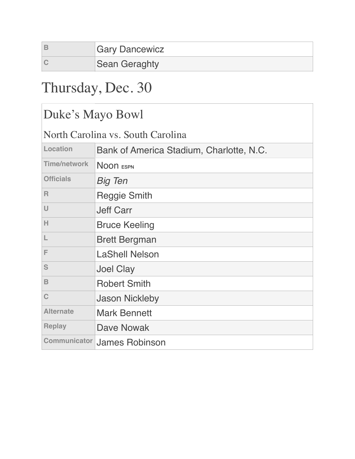| <b>Gary Dancewicz</b> |
|-----------------------|
| <b>Sean Geraghty</b>  |

## Thursday, Dec. 30

### Duke's Mayo Bowl

North Carolina vs. South Carolina

| Bank of America Stadium, Charlotte, N.C. |  |
|------------------------------------------|--|
| NOON ESPN                                |  |
| <b>Big Ten</b>                           |  |
| <b>Reggie Smith</b>                      |  |
| <b>Jeff Carr</b>                         |  |
| <b>Bruce Keeling</b>                     |  |
| <b>Brett Bergman</b>                     |  |
| <b>LaShell Nelson</b>                    |  |
| <b>Joel Clay</b>                         |  |
| <b>Robert Smith</b>                      |  |
| <b>Jason Nickleby</b>                    |  |
| <b>Mark Bennett</b>                      |  |
| <b>Dave Nowak</b>                        |  |
| <b>James Robinson</b>                    |  |
|                                          |  |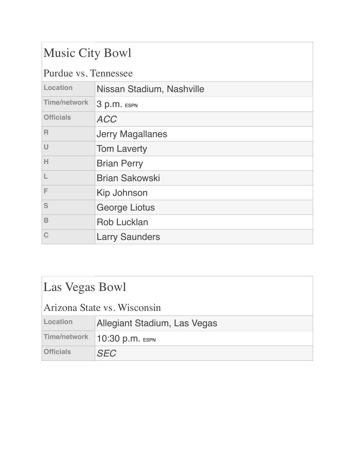### Music City Bowl

Purdue vs. Tennessee

|                     | I diddo vol Ichnessee     |  |
|---------------------|---------------------------|--|
| Location            | Nissan Stadium, Nashville |  |
| <b>Time/network</b> | 3 p.m. ESPN               |  |
| <b>Officials</b>    | <b>ACC</b>                |  |
| $\mathsf{R}$        | <b>Jerry Magallanes</b>   |  |
| U                   | <b>Tom Laverty</b>        |  |
| H                   | <b>Brian Perry</b>        |  |
| L                   | <b>Brian Sakowski</b>     |  |
| E                   | Kip Johnson               |  |
| S                   | <b>George Liotus</b>      |  |
| B                   | <b>Rob Lucklan</b>        |  |
| C                   | <b>Larry Saunders</b>     |  |
|                     |                           |  |

| Las Vegas Bowl              |                              |
|-----------------------------|------------------------------|
| Arizona State vs. Wisconsin |                              |
| Location                    | Allegiant Stadium, Las Vegas |
| <b>Time/network</b>         | 10:30 p.m. ESPN              |
| <b>Officials</b>            | <b>SFC</b>                   |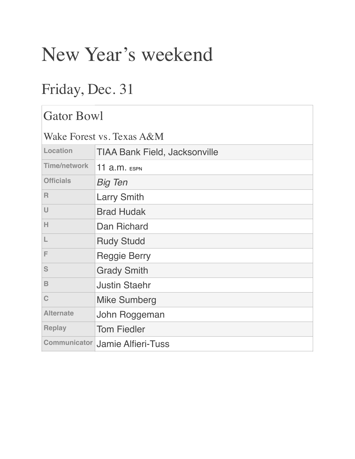# New Year's weekend

## Friday, Dec. 31

| <b>Gator Bowl</b>         |                                        |
|---------------------------|----------------------------------------|
| Wake Forest vs. Texas A&M |                                        |
| Location                  | <b>TIAA Bank Field, Jacksonville</b>   |
| <b>Time/network</b>       | 11 $a.m.$ ESPN                         |
| <b>Officials</b>          | <b>Big Ten</b>                         |
| R                         | <b>Larry Smith</b>                     |
| $\cup$                    | <b>Brad Hudak</b>                      |
| H                         | Dan Richard                            |
| L                         | <b>Rudy Studd</b>                      |
| F                         | <b>Reggie Berry</b>                    |
| S                         | <b>Grady Smith</b>                     |
| B                         | <b>Justin Staehr</b>                   |
| $\mathbf C$               | <b>Mike Sumberg</b>                    |
| <b>Alternate</b>          | John Roggeman                          |
| <b>Replay</b>             | <b>Tom Fiedler</b>                     |
|                           | <b>Communicator Jamie Alfieri-Tuss</b> |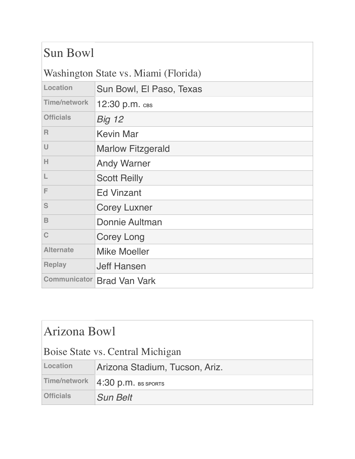| Sun Bowl            |                                      |
|---------------------|--------------------------------------|
|                     | Washington State vs. Miami (Florida) |
| Location            | Sun Bowl, El Paso, Texas             |
| <b>Time/network</b> | 12:30 p.m. свs                       |
| <b>Officials</b>    | <b>Big 12</b>                        |
| $\mathsf{R}$        | <b>Kevin Mar</b>                     |
| $\cup$              | <b>Marlow Fitzgerald</b>             |
| H                   | <b>Andy Warner</b>                   |
| L                   | <b>Scott Reilly</b>                  |
| F                   | <b>Ed Vinzant</b>                    |
| S                   | <b>Corey Luxner</b>                  |
| B                   | Donnie Aultman                       |
| C                   | <b>Corey Long</b>                    |
| <b>Alternate</b>    | <b>Mike Moeller</b>                  |
| <b>Replay</b>       | <b>Jeff Hansen</b>                   |
| <b>Communicator</b> | <b>Brad Van Vark</b>                 |

| Arizona Bowl                     |                                |  |
|----------------------------------|--------------------------------|--|
| Boise State vs. Central Michigan |                                |  |
| Location                         | Arizona Stadium, Tucson, Ariz. |  |
| Time/network                     | 4:30 p.m. BS SPORTS            |  |
| <b>Officials</b>                 | <b>Sun Belt</b>                |  |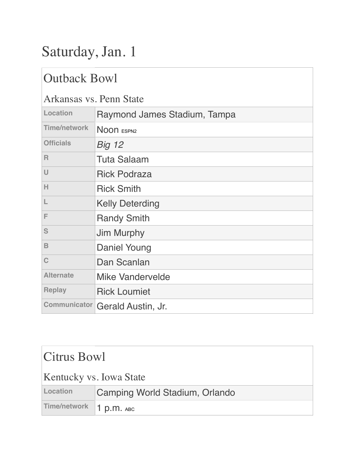# Saturday, Jan. 1

### Outback Bowl

#### Arkansas vs. Penn State

| I HIRAIDHD TDI I CHII DIAIC |                                 |
|-----------------------------|---------------------------------|
| Location                    | Raymond James Stadium, Tampa    |
| <b>Time/network</b>         | NOON ESPN2                      |
| <b>Officials</b>            | <b>Big 12</b>                   |
| R                           | <b>Tuta Salaam</b>              |
| $\cup$                      | <b>Rick Podraza</b>             |
| Н                           | <b>Rick Smith</b>               |
| L                           | <b>Kelly Deterding</b>          |
| F                           | <b>Randy Smith</b>              |
| S                           | Jim Murphy                      |
| B                           | <b>Daniel Young</b>             |
| C                           | Dan Scanlan                     |
| <b>Alternate</b>            | <b>Mike Vandervelde</b>         |
| <b>Replay</b>               | <b>Rick Loumiet</b>             |
|                             | Communicator Gerald Austin, Jr. |
|                             |                                 |

### Citrus Bowl

#### Kentucky vs. Iowa State

| Location | Camping World Stadium, Orlando |
|----------|--------------------------------|
|          | Time/network 1 p.m. ABC        |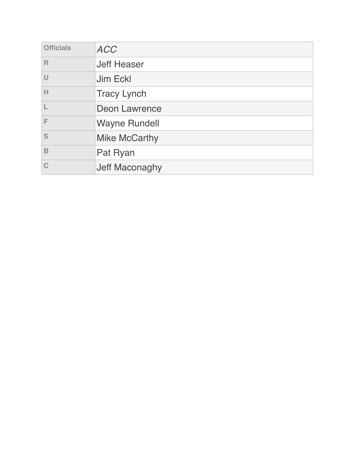| <b>Officials</b> | <b>ACC</b>           |
|------------------|----------------------|
| R                | <b>Jeff Heaser</b>   |
| U                | Jim Eckl             |
| Н                | <b>Tracy Lynch</b>   |
|                  | <b>Deon Lawrence</b> |
| F                | <b>Wayne Rundell</b> |
| S                | <b>Mike McCarthy</b> |
| B                | Pat Ryan             |
|                  | Jeff Maconaghy       |